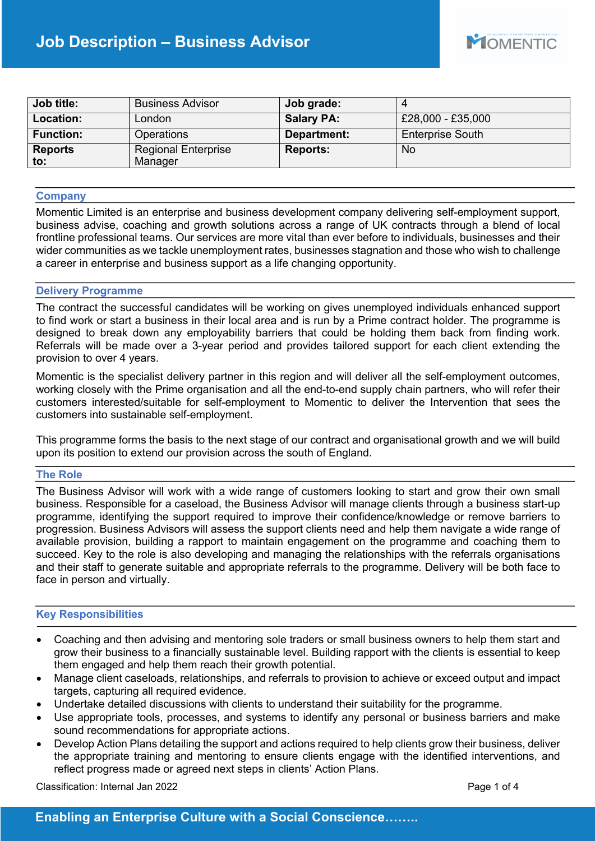| Job title:            | <b>Business Advisor</b>               | Job grade:        |                         |
|-----------------------|---------------------------------------|-------------------|-------------------------|
| Location:             | London                                | <b>Salary PA:</b> | £28,000 - £35,000       |
| <b>Function:</b>      | <b>Operations</b>                     | Department:       | <b>Enterprise South</b> |
| <b>Reports</b><br>to: | <b>Regional Enterprise</b><br>Manager | <b>Reports:</b>   | <b>No</b>               |

### **Company**

Momentic Limited is an enterprise and business development company delivering self-employment support, business advise, coaching and growth solutions across a range of UK contracts through a blend of local frontline professional teams. Our services are more vital than ever before to individuals, businesses and their wider communities as we tackle unemployment rates, businesses stagnation and those who wish to challenge a career in enterprise and business support as a life changing opportunity.

#### **Delivery Programme**

The contract the successful candidates will be working on gives unemployed individuals enhanced support to find work or start a business in their local area and is run by a Prime contract holder. The programme is designed to break down any employability barriers that could be holding them back from finding work. Referrals will be made over a 3-year period and provides tailored support for each client extending the provision to over 4 years.

Momentic is the specialist delivery partner in this region and will deliver all the self-employment outcomes, working closely with the Prime organisation and all the end-to-end supply chain partners, who will refer their customers interested/suitable for self-employment to Momentic to deliver the Intervention that sees the customers into sustainable self-employment.

This programme forms the basis to the next stage of our contract and organisational growth and we will build upon its position to extend our provision across the south of England.

## **The Role**

The Business Advisor will work with a wide range of customers looking to start and grow their own small business. Responsible for a caseload, the Business Advisor will manage clients through a business start-up programme, identifying the support required to improve their confidence/knowledge or remove barriers to progression. Business Advisors will assess the support clients need and help them navigate a wide range of available provision, building a rapport to maintain engagement on the programme and coaching them to succeed. Key to the role is also developing and managing the relationships with the referrals organisations and their staff to generate suitable and appropriate referrals to the programme. Delivery will be both face to face in person and virtually.

## **Key Responsibilities**

- Coaching and then advising and mentoring sole traders or small business owners to help them start and grow their business to a financially sustainable level. Building rapport with the clients is essential to keep them engaged and help them reach their growth potential.
- Manage client caseloads, relationships, and referrals to provision to achieve or exceed output and impact targets, capturing all required evidence.
- Undertake detailed discussions with clients to understand their suitability for the programme.
- Use appropriate tools, processes, and systems to identify any personal or business barriers and make sound recommendations for appropriate actions.
- Develop Action Plans detailing the support and actions required to help clients grow their business, deliver the appropriate training and mentoring to ensure clients engage with the identified interventions, and reflect progress made or agreed next steps in clients' Action Plans.

Classification: Internal Jan 2022 **Page 1 of 4** Page 1 of 4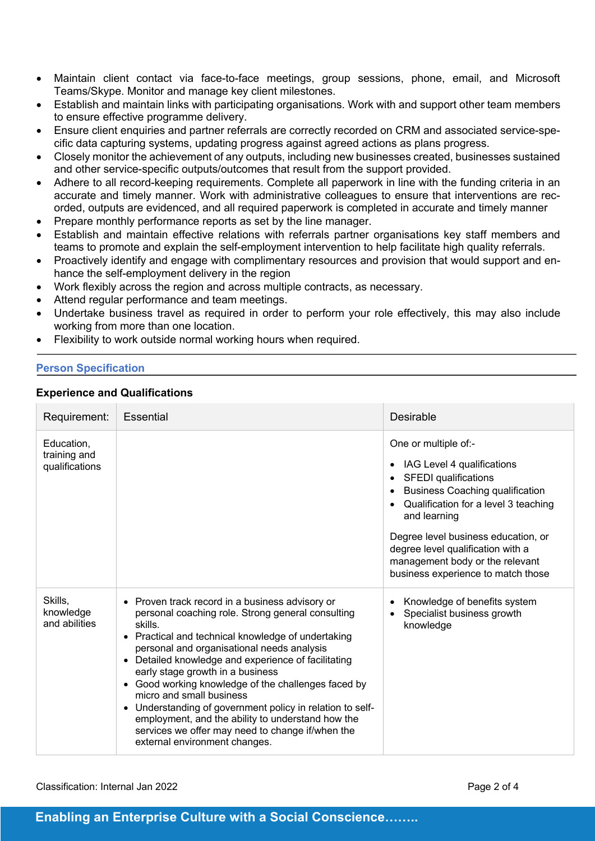- Maintain client contact via face-to-face meetings, group sessions, phone, email, and Microsoft Teams/Skype. Monitor and manage key client milestones.
- Establish and maintain links with participating organisations. Work with and support other team members to ensure effective programme delivery.
- Ensure client enquiries and partner referrals are correctly recorded on CRM and associated service-specific data capturing systems, updating progress against agreed actions as plans progress.
- Closely monitor the achievement of any outputs, including new businesses created, businesses sustained and other service-specific outputs/outcomes that result from the support provided.
- Adhere to all record-keeping requirements. Complete all paperwork in line with the funding criteria in an accurate and timely manner. Work with administrative colleagues to ensure that interventions are recorded, outputs are evidenced, and all required paperwork is completed in accurate and timely manner
- Prepare monthly performance reports as set by the line manager.
- Establish and maintain effective relations with referrals partner organisations key staff members and teams to promote and explain the self-employment intervention to help facilitate high quality referrals.
- Proactively identify and engage with complimentary resources and provision that would support and enhance the self-employment delivery in the region
- Work flexibly across the region and across multiple contracts, as necessary.
- Attend regular performance and team meetings.
- Undertake business travel as required in order to perform your role effectively, this may also include working from more than one location.
- Flexibility to work outside normal working hours when required.

# **Person Specification**

# **Experience and Qualifications**

| Requirement:                                 | <b>Essential</b>                                                                                                                                                                                                                                                                                                                                                                                                                                                                                                                                                                                                                                     | Desirable                                                                                                                                                                                                                                                                                                                                             |
|----------------------------------------------|------------------------------------------------------------------------------------------------------------------------------------------------------------------------------------------------------------------------------------------------------------------------------------------------------------------------------------------------------------------------------------------------------------------------------------------------------------------------------------------------------------------------------------------------------------------------------------------------------------------------------------------------------|-------------------------------------------------------------------------------------------------------------------------------------------------------------------------------------------------------------------------------------------------------------------------------------------------------------------------------------------------------|
| Education,<br>training and<br>qualifications |                                                                                                                                                                                                                                                                                                                                                                                                                                                                                                                                                                                                                                                      | One or multiple of:-<br>IAG Level 4 qualifications<br>$\bullet$<br><b>SFEDI</b> qualifications<br><b>Business Coaching qualification</b><br>Qualification for a level 3 teaching<br>and learning<br>Degree level business education, or<br>degree level qualification with a<br>management body or the relevant<br>business experience to match those |
| Skills,<br>knowledge<br>and abilities        | Proven track record in a business advisory or<br>$\bullet$<br>personal coaching role. Strong general consulting<br>skills.<br>Practical and technical knowledge of undertaking<br>$\bullet$<br>personal and organisational needs analysis<br>Detailed knowledge and experience of facilitating<br>$\bullet$<br>early stage growth in a business<br>• Good working knowledge of the challenges faced by<br>micro and small business<br>Understanding of government policy in relation to self-<br>$\bullet$<br>employment, and the ability to understand how the<br>services we offer may need to change if/when the<br>external environment changes. | Knowledge of benefits system<br>Specialist business growth<br>knowledge                                                                                                                                                                                                                                                                               |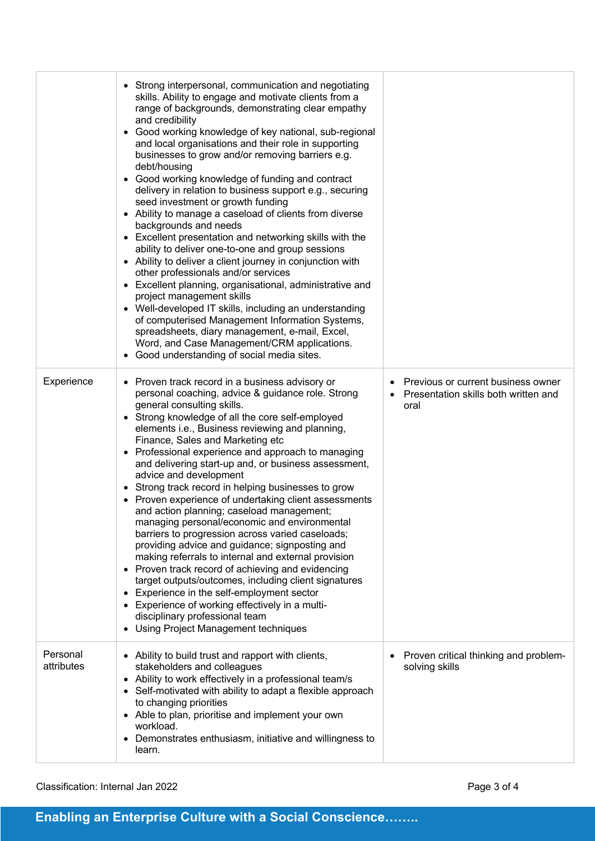|                        | • Strong interpersonal, communication and negotiating<br>skills. Ability to engage and motivate clients from a<br>range of backgrounds, demonstrating clear empathy<br>and credibility<br>• Good working knowledge of key national, sub-regional<br>and local organisations and their role in supporting<br>businesses to grow and/or removing barriers e.g.<br>debt/housing<br>Good working knowledge of funding and contract<br>$\bullet$<br>delivery in relation to business support e.g., securing<br>seed investment or growth funding<br>• Ability to manage a caseload of clients from diverse<br>backgrounds and needs<br>• Excellent presentation and networking skills with the<br>ability to deliver one-to-one and group sessions<br>• Ability to deliver a client journey in conjunction with<br>other professionals and/or services<br>• Excellent planning, organisational, administrative and<br>project management skills<br>• Well-developed IT skills, including an understanding<br>of computerised Management Information Systems,<br>spreadsheets, diary management, e-mail, Excel,<br>Word, and Case Management/CRM applications.<br>• Good understanding of social media sites. |                                                                                    |
|------------------------|---------------------------------------------------------------------------------------------------------------------------------------------------------------------------------------------------------------------------------------------------------------------------------------------------------------------------------------------------------------------------------------------------------------------------------------------------------------------------------------------------------------------------------------------------------------------------------------------------------------------------------------------------------------------------------------------------------------------------------------------------------------------------------------------------------------------------------------------------------------------------------------------------------------------------------------------------------------------------------------------------------------------------------------------------------------------------------------------------------------------------------------------------------------------------------------------------------|------------------------------------------------------------------------------------|
| Experience             | • Proven track record in a business advisory or<br>personal coaching, advice & guidance role. Strong<br>general consulting skills.<br>• Strong knowledge of all the core self-employed<br>elements i.e., Business reviewing and planning,<br>Finance, Sales and Marketing etc<br>Professional experience and approach to managing<br>and delivering start-up and, or business assessment,<br>advice and development<br>• Strong track record in helping businesses to grow<br>Proven experience of undertaking client assessments<br>and action planning; caseload management;<br>managing personal/economic and environmental<br>barriers to progression across varied caseloads;<br>providing advice and guidance; signposting and<br>making referrals to internal and external provision<br>• Proven track record of achieving and evidencing<br>target outputs/outcomes, including client signatures<br>Experience in the self-employment sector<br>$\bullet$<br>• Experience of working effectively in a multi-<br>disciplinary professional team<br>Using Project Management techniques                                                                                                           | Previous or current business owner<br>Presentation skills both written and<br>oral |
| Personal<br>attributes | • Ability to build trust and rapport with clients,<br>stakeholders and colleagues<br>• Ability to work effectively in a professional team/s<br>• Self-motivated with ability to adapt a flexible approach<br>to changing priorities<br>• Able to plan, prioritise and implement your own<br>workload.<br>Demonstrates enthusiasm, initiative and willingness to<br>٠<br>learn.                                                                                                                                                                                                                                                                                                                                                                                                                                                                                                                                                                                                                                                                                                                                                                                                                          | Proven critical thinking and problem-<br>solving skills                            |

# Classification: Internal Jan 2022 **Page 3 of 4**